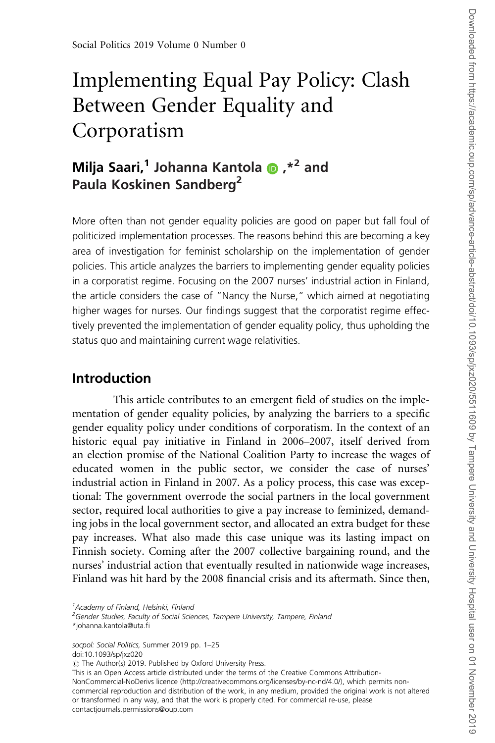# Implementing Equal Pay Policy: Clash Between Gender Equality and Corporatism

# Milja Saari,<sup>1</sup> Johanna Kantola  $\bullet$ ,  $*^2$  and Paula Koskinen Sandberg<sup>2</sup>

More often than not gender equality policies are good on paper but fall foul of politicized implementation processes. The reasons behind this are becoming a key area of investigation for feminist scholarship on the implementation of gender policies. This article analyzes the barriers to implementing gender equality policies in a corporatist regime. Focusing on the 2007 nurses' industrial action in Finland, the article considers the case of "Nancy the Nurse," which aimed at negotiating higher wages for nurses. Our findings suggest that the corporatist regime effectively prevented the implementation of gender equality policy, thus upholding the status quo and maintaining current wage relativities.

## Introduction

This article contributes to an emergent field of studies on the implementation of gender equality policies, by analyzing the barriers to a specific gender equality policy under conditions of corporatism. In the context of an historic equal pay initiative in Finland in 2006–2007, itself derived from an election promise of the National Coalition Party to increase the wages of educated women in the public sector, we consider the case of nurses' industrial action in Finland in 2007. As a policy process, this case was exceptional: The government overrode the social partners in the local government sector, required local authorities to give a pay increase to feminized, demanding jobs in the local government sector, and allocated an extra budget for these pay increases. What also made this case unique was its lasting impact on Finnish society. Coming after the 2007 collective bargaining round, and the nurses' industrial action that eventually resulted in nationwide wage increases, Finland was hit hard by the 2008 financial crisis and its aftermath. Since then,

socpol: Social Politics, Summer 2019 pp. 1-25 doi:10.1093/sp/jxz020  $\circled{c}$  The Author(s) 2019. Published by Oxford University Press. This is an Open Access article distributed under the terms of the Creative Commons Attribution-

NonCommercial-NoDerivs licence (http://creativecommons.org/licenses/by-nc-nd/4.0/), which permits noncommercial reproduction and distribution of the work, in any medium, provided the original work is not altered or transformed in any way, and that the work is properly cited. For commercial re-use, please contactjournals.permissions@oup.com

<sup>&</sup>lt;sup>1</sup> Academy of Finland, Helsinki, Finland

<sup>&</sup>lt;sup>2</sup>Gender Studies, Faculty of Social Sciences, Tampere University, Tampere, Finland \*johanna.kantola@uta.fi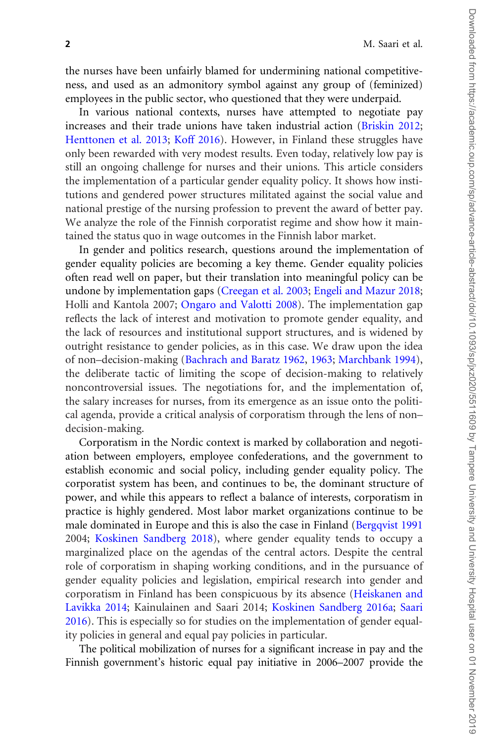the nurses have been unfairly blamed for undermining national competitiveness, and used as an admonitory symbol against any group of (feminized) employees in the public sector, who questioned that they were underpaid.

In various national contexts, nurses have attempted to negotiate pay increases and their trade unions have taken industrial action [\(Briskin 2012;](#page-21-0) [Henttonen et al. 2013](#page-22-0); [Koff 2016\)](#page-22-0). However, in Finland these struggles have only been rewarded with very modest results. Even today, relatively low pay is still an ongoing challenge for nurses and their unions. This article considers the implementation of a particular gender equality policy. It shows how institutions and gendered power structures militated against the social value and national prestige of the nursing profession to prevent the award of better pay. We analyze the role of the Finnish corporatist regime and show how it maintained the status quo in wage outcomes in the Finnish labor market.

In gender and politics research, questions around the implementation of gender equality policies are becoming a key theme. Gender equality policies often read well on paper, but their translation into meaningful policy can be undone by implementation gaps [\(Creegan et al. 2003;](#page-21-0) [Engeli and Mazur 2018;](#page-21-0) Holli and Kantola 2007; [Ongaro and Valotti 2008\)](#page-23-0). The implementation gap reflects the lack of interest and motivation to promote gender equality, and the lack of resources and institutional support structures, and is widened by outright resistance to gender policies, as in this case. We draw upon the idea of non–decision-making ([Bachrach and Baratz 1962,](#page-21-0) [1963](#page-21-0); [Marchbank 1994\)](#page-23-0), the deliberate tactic of limiting the scope of decision-making to relatively noncontroversial issues. The negotiations for, and the implementation of, the salary increases for nurses, from its emergence as an issue onto the political agenda, provide a critical analysis of corporatism through the lens of non– decision-making.

Corporatism in the Nordic context is marked by collaboration and negotiation between employers, employee confederations, and the government to establish economic and social policy, including gender equality policy. The corporatist system has been, and continues to be, the dominant structure of power, and while this appears to reflect a balance of interests, corporatism in practice is highly gendered. Most labor market organizations continue to be male dominated in Europe and this is also the case in Finland [\(Bergqvist 1991](#page-21-0) 2004; [Koskinen Sandberg 2018\)](#page-22-0), where gender equality tends to occupy a marginalized place on the agendas of the central actors. Despite the central role of corporatism in shaping working conditions, and in the pursuance of gender equality policies and legislation, empirical research into gender and corporatism in Finland has been conspicuous by its absence ([Heiskanen and](#page-22-0) [Lavikka 2014;](#page-22-0) Kainulainen and Saari 2014; [Koskinen Sandberg 2016a;](#page-22-0) [Saari](#page-24-0) [2016\)](#page-24-0). This is especially so for studies on the implementation of gender equality policies in general and equal pay policies in particular.

The political mobilization of nurses for a significant increase in pay and the Finnish government's historic equal pay initiative in 2006–2007 provide the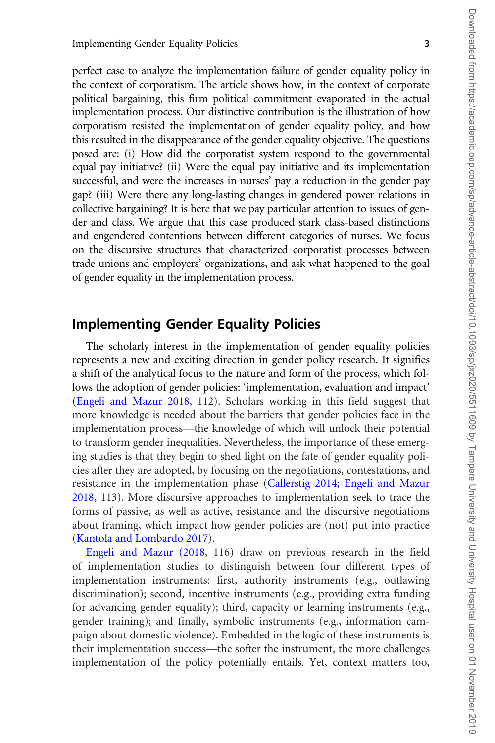perfect case to analyze the implementation failure of gender equality policy in the context of corporatism. The article shows how, in the context of corporate political bargaining, this firm political commitment evaporated in the actual implementation process. Our distinctive contribution is the illustration of how corporatism resisted the implementation of gender equality policy, and how this resulted in the disappearance of the gender equality objective. The questions posed are: (i) How did the corporatist system respond to the governmental equal pay initiative? (ii) Were the equal pay initiative and its implementation successful, and were the increases in nurses' pay a reduction in the gender pay gap? (iii) Were there any long-lasting changes in gendered power relations in collective bargaining? It is here that we pay particular attention to issues of gender and class. We argue that this case produced stark class-based distinctions and engendered contentions between different categories of nurses. We focus on the discursive structures that characterized corporatist processes between trade unions and employers' organizations, and ask what happened to the goal of gender equality in the implementation process.

# Implementing Gender Equality Policies

The scholarly interest in the implementation of gender equality policies represents a new and exciting direction in gender policy research. It signifies a shift of the analytical focus to the nature and form of the process, which follows the adoption of gender policies: 'implementation, evaluation and impact' ([Engeli and Mazur 2018](#page-21-0), 112). Scholars working in this field suggest that more knowledge is needed about the barriers that gender policies face in the implementation process—the knowledge of which will unlock their potential to transform gender inequalities. Nevertheless, the importance of these emerging studies is that they begin to shed light on the fate of gender equality policies after they are adopted, by focusing on the negotiations, contestations, and resistance in the implementation phase [\(Callerstig 2014;](#page-21-0) [Engeli and Mazur](#page-21-0) [2018,](#page-21-0) 113). More discursive approaches to implementation seek to trace the forms of passive, as well as active, resistance and the discursive negotiations about framing, which impact how gender policies are (not) put into practice ([Kantola and Lombardo 2017](#page-22-0)).

[Engeli and Mazur \(2018,](#page-21-0) 116) draw on previous research in the field of implementation studies to distinguish between four different types of implementation instruments: first, authority instruments (e.g., outlawing discrimination); second, incentive instruments (e.g., providing extra funding for advancing gender equality); third, capacity or learning instruments (e.g., gender training); and finally, symbolic instruments (e.g., information campaign about domestic violence). Embedded in the logic of these instruments is their implementation success—the softer the instrument, the more challenges implementation of the policy potentially entails. Yet, context matters too,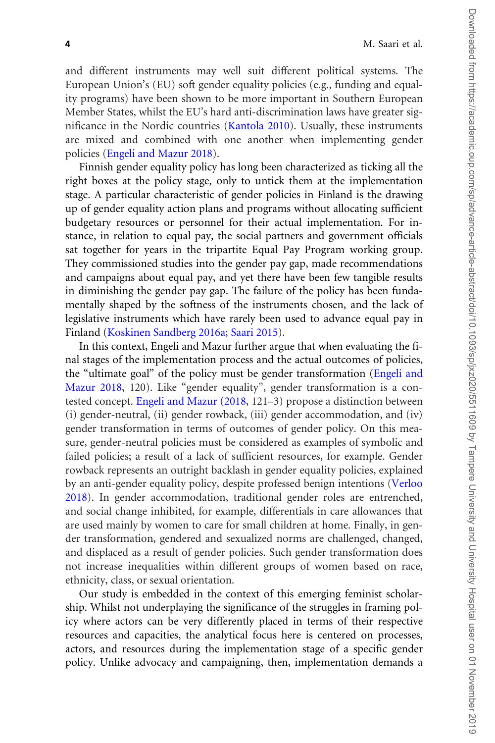and different instruments may well suit different political systems. The European Union's (EU) soft gender equality policies (e.g., funding and equality programs) have been shown to be more important in Southern European Member States, whilst the EU's hard anti-discrimination laws have greater significance in the Nordic countries [\(Kantola 2010\)](#page-22-0). Usually, these instruments are mixed and combined with one another when implementing gender policies [\(Engeli and Mazur 2018](#page-21-0)).

Finnish gender equality policy has long been characterized as ticking all the right boxes at the policy stage, only to untick them at the implementation stage. A particular characteristic of gender policies in Finland is the drawing up of gender equality action plans and programs without allocating sufficient budgetary resources or personnel for their actual implementation. For instance, in relation to equal pay, the social partners and government officials sat together for years in the tripartite Equal Pay Program working group. They commissioned studies into the gender pay gap, made recommendations and campaigns about equal pay, and yet there have been few tangible results in diminishing the gender pay gap. The failure of the policy has been fundamentally shaped by the softness of the instruments chosen, and the lack of legislative instruments which have rarely been used to advance equal pay in Finland ([Koskinen Sandberg 2016a;](#page-22-0) [Saari 2015\)](#page-24-0).

In this context, Engeli and Mazur further argue that when evaluating the final stages of the implementation process and the actual outcomes of policies, the "ultimate goal" of the policy must be gender transformation [\(Engeli and](#page-21-0) [Mazur 2018](#page-21-0), 120). Like "gender equality", gender transformation is a contested concept. [Engeli and Mazur \(2018,](#page-21-0) 121–3) propose a distinction between (i) gender-neutral, (ii) gender rowback, (iii) gender accommodation, and (iv) gender transformation in terms of outcomes of gender policy. On this measure, gender-neutral policies must be considered as examples of symbolic and failed policies; a result of a lack of sufficient resources, for example. Gender rowback represents an outright backlash in gender equality policies, explained by an anti-gender equality policy, despite professed benign intentions ([Verloo](#page-24-0) [2018\)](#page-24-0). In gender accommodation, traditional gender roles are entrenched, and social change inhibited, for example, differentials in care allowances that are used mainly by women to care for small children at home. Finally, in gender transformation, gendered and sexualized norms are challenged, changed, and displaced as a result of gender policies. Such gender transformation does not increase inequalities within different groups of women based on race, ethnicity, class, or sexual orientation.

Our study is embedded in the context of this emerging feminist scholarship. Whilst not underplaying the significance of the struggles in framing policy where actors can be very differently placed in terms of their respective resources and capacities, the analytical focus here is centered on processes, actors, and resources during the implementation stage of a specific gender policy. Unlike advocacy and campaigning, then, implementation demands a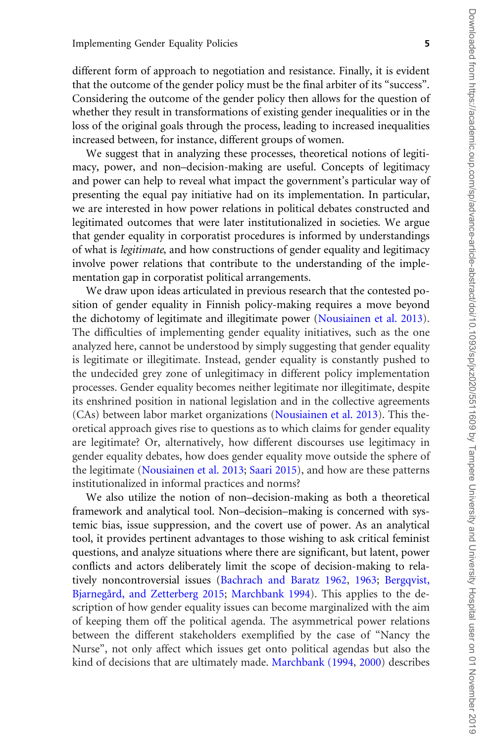different form of approach to negotiation and resistance. Finally, it is evident that the outcome of the gender policy must be the final arbiter of its "success". Considering the outcome of the gender policy then allows for the question of whether they result in transformations of existing gender inequalities or in the loss of the original goals through the process, leading to increased inequalities increased between, for instance, different groups of women.

We suggest that in analyzing these processes, theoretical notions of legitimacy, power, and non–decision-making are useful. Concepts of legitimacy and power can help to reveal what impact the government's particular way of presenting the equal pay initiative had on its implementation. In particular, we are interested in how power relations in political debates constructed and legitimated outcomes that were later institutionalized in societies. We argue that gender equality in corporatist procedures is informed by understandings of what is legitimate, and how constructions of gender equality and legitimacy involve power relations that contribute to the understanding of the implementation gap in corporatist political arrangements.

We draw upon ideas articulated in previous research that the contested position of gender equality in Finnish policy-making requires a move beyond the dichotomy of legitimate and illegitimate power ([Nousiainen et al. 2013\)](#page-23-0). The difficulties of implementing gender equality initiatives, such as the one analyzed here, cannot be understood by simply suggesting that gender equality is legitimate or illegitimate. Instead, gender equality is constantly pushed to the undecided grey zone of unlegitimacy in different policy implementation processes. Gender equality becomes neither legitimate nor illegitimate, despite its enshrined position in national legislation and in the collective agreements (CAs) between labor market organizations ([Nousiainen et al. 2013\)](#page-23-0). This theoretical approach gives rise to questions as to which claims for gender equality are legitimate? Or, alternatively, how different discourses use legitimacy in gender equality debates, how does gender equality move outside the sphere of the legitimate ([Nousiainen et al. 2013;](#page-23-0) [Saari 2015](#page-24-0)), and how are these patterns institutionalized in informal practices and norms?

We also utilize the notion of non–decision-making as both a theoretical framework and analytical tool. Non–decision–making is concerned with systemic bias, issue suppression, and the covert use of power. As an analytical tool, it provides pertinent advantages to those wishing to ask critical feminist questions, and analyze situations where there are significant, but latent, power conflicts and actors deliberately limit the scope of decision-making to relatively noncontroversial issues [\(Bachrach and Baratz 1962,](#page-21-0) [1963;](#page-21-0) [Bergqvist,](#page-21-0) Bjarnegård, and Zetterberg 2015; [Marchbank 1994\)](#page-23-0). This applies to the description of how gender equality issues can become marginalized with the aim of keeping them off the political agenda. The asymmetrical power relations between the different stakeholders exemplified by the case of "Nancy the Nurse", not only affect which issues get onto political agendas but also the kind of decisions that are ultimately made. [Marchbank \(1994](#page-23-0), [2000\)](#page-23-0) describes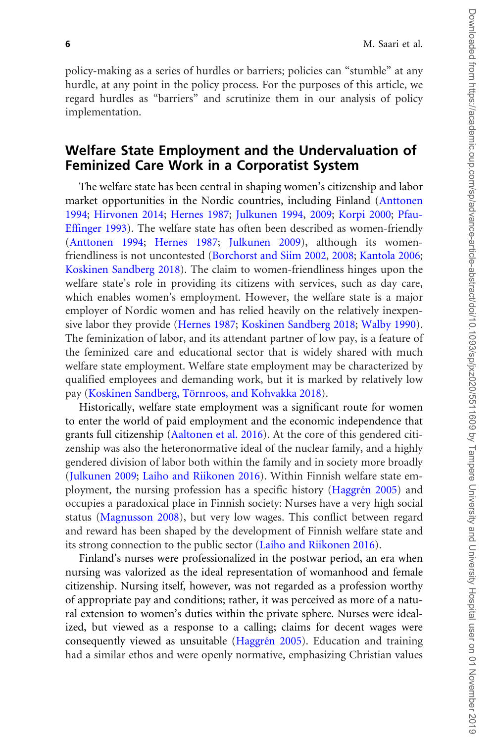policy-making as a series of hurdles or barriers; policies can "stumble" at any hurdle, at any point in the policy process. For the purposes of this article, we regard hurdles as "barriers" and scrutinize them in our analysis of policy implementation.

# Welfare State Employment and the Undervaluation of Feminized Care Work in a Corporatist System

The welfare state has been central in shaping women's citizenship and labor market opportunities in the Nordic countries, including Finland ([Anttonen](#page-21-0) [1994;](#page-21-0) [Hirvonen 2014;](#page-22-0) [Hernes 1987;](#page-22-0) [Julkunen 1994,](#page-22-0) [2009;](#page-22-0) [Korpi 2000](#page-22-0); [Pfau-](#page-23-0)[Effinger 1993\)](#page-23-0). The welfare state has often been described as women-friendly ([Anttonen 1994](#page-21-0); [Hernes 1987;](#page-22-0) [Julkunen 2009](#page-22-0)), although its womenfriendliness is not uncontested [\(Borchorst and Siim 2002,](#page-21-0) [2008;](#page-21-0) [Kantola 2006;](#page-22-0) [Koskinen Sandberg 2018](#page-22-0)). The claim to women-friendliness hinges upon the welfare state's role in providing its citizens with services, such as day care, which enables women's employment. However, the welfare state is a major employer of Nordic women and has relied heavily on the relatively inexpensive labor they provide [\(Hernes 1987](#page-22-0); [Koskinen Sandberg 2018](#page-22-0); [Walby 1990\)](#page-24-0). The feminization of labor, and its attendant partner of low pay, is a feature of the feminized care and educational sector that is widely shared with much welfare state employment. Welfare state employment may be characterized by qualified employees and demanding work, but it is marked by relatively low pay (Koskinen Sandberg, Törnroos, and Kohvakka 2018).

Historically, welfare state employment was a significant route for women to enter the world of paid employment and the economic independence that grants full citizenship [\(Aaltonen et al. 2016](#page-21-0)). At the core of this gendered citizenship was also the heteronormative ideal of the nuclear family, and a highly gendered division of labor both within the family and in society more broadly ([Julkunen 2009;](#page-22-0) [Laiho and Riikonen 2016\)](#page-23-0). Within Finnish welfare state employment, the nursing profession has a specific history (Haggrén 2005) and occupies a paradoxical place in Finnish society: Nurses have a very high social status [\(Magnusson 2008](#page-23-0)), but very low wages. This conflict between regard and reward has been shaped by the development of Finnish welfare state and its strong connection to the public sector [\(Laiho and Riikonen 2016](#page-23-0)).

Finland's nurses were professionalized in the postwar period, an era when nursing was valorized as the ideal representation of womanhood and female citizenship. Nursing itself, however, was not regarded as a profession worthy of appropriate pay and conditions; rather, it was perceived as more of a natural extension to women's duties within the private sphere. Nurses were idealized, but viewed as a response to a calling; claims for decent wages were consequently viewed as unsuitable (Haggrén 2005). Education and training had a similar ethos and were openly normative, emphasizing Christian values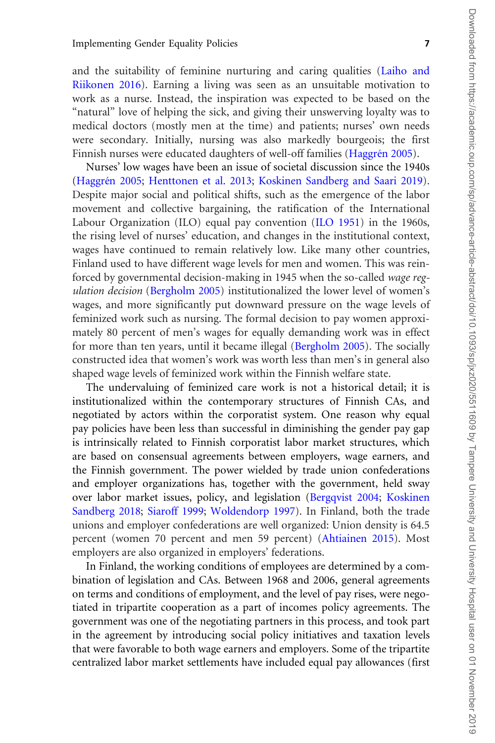and the suitability of feminine nurturing and caring qualities [\(Laiho and](#page-23-0) [Riikonen 2016\)](#page-23-0). Earning a living was seen as an unsuitable motivation to work as a nurse. Instead, the inspiration was expected to be based on the "natural" love of helping the sick, and giving their unswerving loyalty was to medical doctors (mostly men at the time) and patients; nurses' own needs were secondary. Initially, nursing was also markedly bourgeois; the first Finnish nurses were educated daughters of well-off families (Haggrén 2005).

Nurses' low wages have been an issue of societal discussion since the 1940s (Haggrén 2005; [Henttonen et al. 2013;](#page-22-0) [Koskinen Sandberg and Saari 2019\)](#page-22-0). Despite major social and political shifts, such as the emergence of the labor movement and collective bargaining, the ratification of the International Labour Organization (ILO) equal pay convention [\(ILO 1951](#page-22-0)) in the 1960s, the rising level of nurses' education, and changes in the institutional context, wages have continued to remain relatively low. Like many other countries, Finland used to have different wage levels for men and women. This was reinforced by governmental decision-making in 1945 when the so-called wage reg-ulation decision ([Bergholm 2005](#page-21-0)) institutionalized the lower level of women's wages, and more significantly put downward pressure on the wage levels of feminized work such as nursing. The formal decision to pay women approximately 80 percent of men's wages for equally demanding work was in effect for more than ten years, until it became illegal [\(Bergholm 2005](#page-21-0)). The socially constructed idea that women's work was worth less than men's in general also shaped wage levels of feminized work within the Finnish welfare state.

The undervaluing of feminized care work is not a historical detail; it is institutionalized within the contemporary structures of Finnish CAs, and negotiated by actors within the corporatist system. One reason why equal pay policies have been less than successful in diminishing the gender pay gap is intrinsically related to Finnish corporatist labor market structures, which are based on consensual agreements between employers, wage earners, and the Finnish government. The power wielded by trade union confederations and employer organizations has, together with the government, held sway over labor market issues, policy, and legislation [\(Bergqvist 2004;](#page-21-0) [Koskinen](#page-22-0) [Sandberg 2018;](#page-22-0) [Siaroff 1999;](#page-24-0) [Woldendorp 1997](#page-24-0)). In Finland, both the trade unions and employer confederations are well organized: Union density is 64.5 percent (women 70 percent and men 59 percent) ([Ahtiainen 2015\)](#page-21-0). Most employers are also organized in employers' federations.

In Finland, the working conditions of employees are determined by a combination of legislation and CAs. Between 1968 and 2006, general agreements on terms and conditions of employment, and the level of pay rises, were negotiated in tripartite cooperation as a part of incomes policy agreements. The government was one of the negotiating partners in this process, and took part in the agreement by introducing social policy initiatives and taxation levels that were favorable to both wage earners and employers. Some of the tripartite centralized labor market settlements have included equal pay allowances (first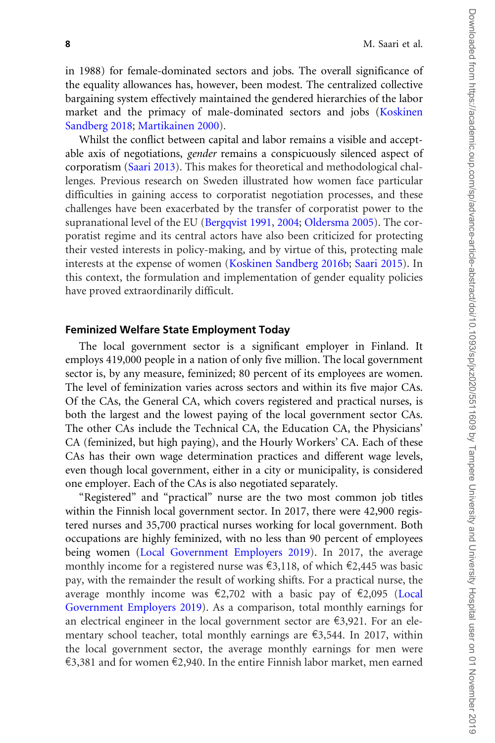in 1988) for female-dominated sectors and jobs. The overall significance of the equality allowances has, however, been modest. The centralized collective bargaining system effectively maintained the gendered hierarchies of the labor market and the primacy of male-dominated sectors and jobs [\(Koskinen](#page-22-0) [Sandberg 2018;](#page-22-0) [Martikainen 2000](#page-23-0)).

Whilst the conflict between capital and labor remains a visible and acceptable axis of negotiations, gender remains a conspicuously silenced aspect of corporatism ([Saari 2013\)](#page-23-0). This makes for theoretical and methodological challenges. Previous research on Sweden illustrated how women face particular difficulties in gaining access to corporatist negotiation processes, and these challenges have been exacerbated by the transfer of corporatist power to the supranational level of the EU ([Bergqvist 1991](#page-21-0), [2004;](#page-21-0) [Oldersma 2005](#page-23-0)). The corporatist regime and its central actors have also been criticized for protecting their vested interests in policy-making, and by virtue of this, protecting male interests at the expense of women ([Koskinen Sandberg 2016b](#page-22-0); [Saari 2015](#page-24-0)). In this context, the formulation and implementation of gender equality policies have proved extraordinarily difficult.

#### Feminized Welfare State Employment Today

The local government sector is a significant employer in Finland. It employs 419,000 people in a nation of only five million. The local government sector is, by any measure, feminized; 80 percent of its employees are women. The level of feminization varies across sectors and within its five major CAs. Of the CAs, the General CA, which covers registered and practical nurses, is both the largest and the lowest paying of the local government sector CAs. The other CAs include the Technical CA, the Education CA, the Physicians' CA (feminized, but high paying), and the Hourly Workers' CA. Each of these CAs has their own wage determination practices and different wage levels, even though local government, either in a city or municipality, is considered one employer. Each of the CAs is also negotiated separately.

"Registered" and "practical" nurse are the two most common job titles within the Finnish local government sector. In 2017, there were 42,900 registered nurses and 35,700 practical nurses working for local government. Both occupations are highly feminized, with no less than 90 percent of employees being women [\(Local Government Employers 2019](#page-23-0)). In 2017, the average monthly income for a registered nurse was  $\epsilon$ 3,118, of which  $\epsilon$ 2,445 was basic pay, with the remainder the result of working shifts. For a practical nurse, the average monthly income was  $\epsilon$ 2,702 with a basic pay of  $\epsilon$ 2,095 ([Local](#page-23-0) [Government Employers 2019](#page-23-0)). As a comparison, total monthly earnings for an electrical engineer in the local government sector are  $\epsilon$ 3,921. For an elementary school teacher, total monthly earnings are  $\epsilon$ 3,544. In 2017, within the local government sector, the average monthly earnings for men were  $\epsilon$ 3,381 and for women  $\epsilon$ 2,940. In the entire Finnish labor market, men earned

Downloaded from https://academic.oup.com/sp/advance-article-abstract/doi/10.1093/sp/jxz020/5511609 by Tampere University and University and University Hospital user on 01 November 2019 Downloaded from https://academic.oup.com/sp/advance-article-abstract/doi/10.1093/sp/jxz020/5511609 by Tampere University and University Hospital user on 01 November 2019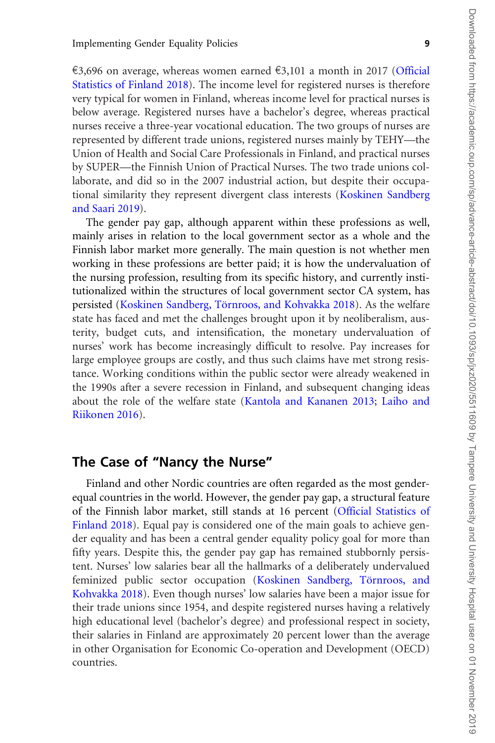$\epsilon$ 3,696 on average, whereas women earned  $\epsilon$ 3,101 a month in 2017 ([Official](#page-23-0) [Statistics of Finland 2018](#page-23-0)). The income level for registered nurses is therefore very typical for women in Finland, whereas income level for practical nurses is below average. Registered nurses have a bachelor's degree, whereas practical nurses receive a three-year vocational education. The two groups of nurses are represented by different trade unions, registered nurses mainly by TEHY—the Union of Health and Social Care Professionals in Finland, and practical nurses by SUPER—the Finnish Union of Practical Nurses. The two trade unions collaborate, and did so in the 2007 industrial action, but despite their occupational similarity they represent divergent class interests [\(Koskinen Sandberg](#page-22-0) [and Saari 2019\)](#page-22-0).

The gender pay gap, although apparent within these professions as well, mainly arises in relation to the local government sector as a whole and the Finnish labor market more generally. The main question is not whether men working in these professions are better paid; it is how the undervaluation of the nursing profession, resulting from its specific history, and currently institutionalized within the structures of local government sector CA system, has persisted (Koskinen Sandberg, Törnroos, and Kohvakka 2018). As the welfare state has faced and met the challenges brought upon it by neoliberalism, austerity, budget cuts, and intensification, the monetary undervaluation of nurses' work has become increasingly difficult to resolve. Pay increases for large employee groups are costly, and thus such claims have met strong resistance. Working conditions within the public sector were already weakened in the 1990s after a severe recession in Finland, and subsequent changing ideas about the role of the welfare state ([Kantola and Kananen 2013;](#page-22-0) [Laiho and](#page-23-0) [Riikonen 2016\)](#page-23-0).

# The Case of "Nancy the Nurse"

Finland and other Nordic countries are often regarded as the most genderequal countries in the world. However, the gender pay gap, a structural feature of the Finnish labor market, still stands at 16 percent ([Official Statistics of](#page-23-0) [Finland 2018\)](#page-23-0). Equal pay is considered one of the main goals to achieve gender equality and has been a central gender equality policy goal for more than fifty years. Despite this, the gender pay gap has remained stubbornly persistent. Nurses' low salaries bear all the hallmarks of a deliberately undervalued feminized public sector occupation (Koskinen Sandberg, Törnroos, and [Kohvakka 2018\)](#page-23-0). Even though nurses' low salaries have been a major issue for their trade unions since 1954, and despite registered nurses having a relatively high educational level (bachelor's degree) and professional respect in society, their salaries in Finland are approximately 20 percent lower than the average in other Organisation for Economic Co-operation and Development (OECD) countries.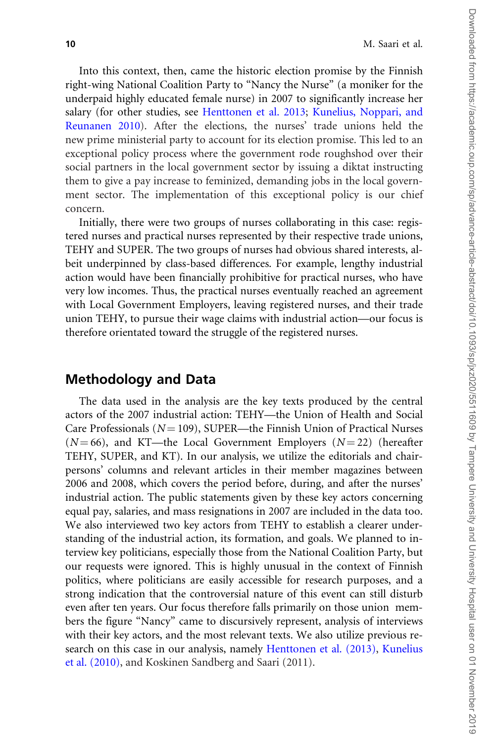Into this context, then, came the historic election promise by the Finnish right-wing National Coalition Party to "Nancy the Nurse" (a moniker for the underpaid highly educated female nurse) in 2007 to significantly increase her salary (for other studies, see [Henttonen et al. 2013;](#page-22-0) [Kunelius, Noppari, and](#page-23-0) [Reunanen 2010](#page-23-0)). After the elections, the nurses' trade unions held the new prime ministerial party to account for its election promise. This led to an exceptional policy process where the government rode roughshod over their social partners in the local government sector by issuing a diktat instructing them to give a pay increase to feminized, demanding jobs in the local government sector. The implementation of this exceptional policy is our chief concern.

Initially, there were two groups of nurses collaborating in this case: registered nurses and practical nurses represented by their respective trade unions, TEHY and SUPER. The two groups of nurses had obvious shared interests, albeit underpinned by class-based differences. For example, lengthy industrial action would have been financially prohibitive for practical nurses, who have very low incomes. Thus, the practical nurses eventually reached an agreement with Local Government Employers, leaving registered nurses, and their trade union TEHY, to pursue their wage claims with industrial action—our focus is therefore orientated toward the struggle of the registered nurses.

### Methodology and Data

The data used in the analysis are the key texts produced by the central actors of the 2007 industrial action: TEHY—the Union of Health and Social Care Professionals ( $N = 109$ ), SUPER—the Finnish Union of Practical Nurses  $(N = 66)$ , and KT—the Local Government Employers  $(N = 22)$  (hereafter TEHY, SUPER, and KT). In our analysis, we utilize the editorials and chairpersons' columns and relevant articles in their member magazines between 2006 and 2008, which covers the period before, during, and after the nurses' industrial action. The public statements given by these key actors concerning equal pay, salaries, and mass resignations in 2007 are included in the data too. We also interviewed two key actors from TEHY to establish a clearer understanding of the industrial action, its formation, and goals. We planned to interview key politicians, especially those from the National Coalition Party, but our requests were ignored. This is highly unusual in the context of Finnish politics, where politicians are easily accessible for research purposes, and a strong indication that the controversial nature of this event can still disturb even after ten years. Our focus therefore falls primarily on those union members the figure "Nancy" came to discursively represent, analysis of interviews with their key actors, and the most relevant texts. We also utilize previous research on this case in our analysis, namely [Henttonen et al. \(2013\)](#page-22-0), [Kunelius](#page-23-0) [et al. \(2010\),](#page-23-0) and Koskinen Sandberg and Saari (2011).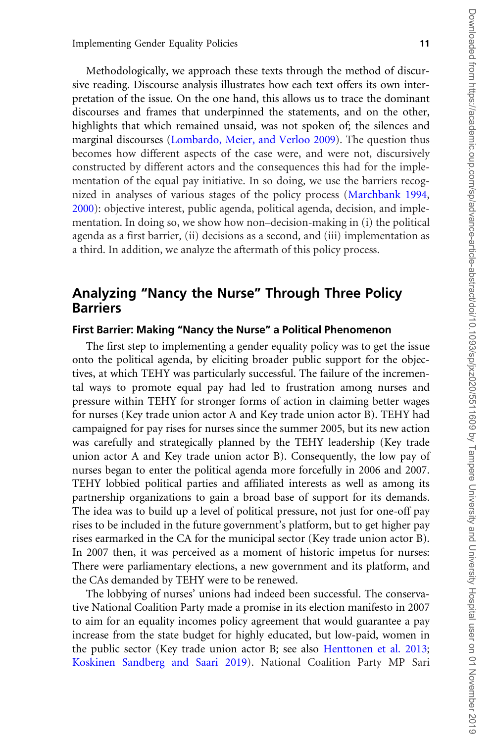Methodologically, we approach these texts through the method of discursive reading. Discourse analysis illustrates how each text offers its own interpretation of the issue. On the one hand, this allows us to trace the dominant discourses and frames that underpinned the statements, and on the other, highlights that which remained unsaid, was not spoken of; the silences and marginal discourses [\(Lombardo, Meier, and Verloo 2009\)](#page-23-0). The question thus becomes how different aspects of the case were, and were not, discursively constructed by different actors and the consequences this had for the implementation of the equal pay initiative. In so doing, we use the barriers recognized in analyses of various stages of the policy process ([Marchbank 1994,](#page-23-0) [2000\)](#page-23-0): objective interest, public agenda, political agenda, decision, and implementation. In doing so, we show how non–decision-making in (i) the political agenda as a first barrier, (ii) decisions as a second, and (iii) implementation as a third. In addition, we analyze the aftermath of this policy process.

# Analyzing "Nancy the Nurse" Through Three Policy Barriers

#### First Barrier: Making "Nancy the Nurse" a Political Phenomenon

The first step to implementing a gender equality policy was to get the issue onto the political agenda, by eliciting broader public support for the objectives, at which TEHY was particularly successful. The failure of the incremental ways to promote equal pay had led to frustration among nurses and pressure within TEHY for stronger forms of action in claiming better wages for nurses (Key trade union actor A and Key trade union actor B). TEHY had campaigned for pay rises for nurses since the summer 2005, but its new action was carefully and strategically planned by the TEHY leadership (Key trade union actor A and Key trade union actor B). Consequently, the low pay of nurses began to enter the political agenda more forcefully in 2006 and 2007. TEHY lobbied political parties and affiliated interests as well as among its partnership organizations to gain a broad base of support for its demands. The idea was to build up a level of political pressure, not just for one-off pay rises to be included in the future government's platform, but to get higher pay rises earmarked in the CA for the municipal sector (Key trade union actor B). In 2007 then, it was perceived as a moment of historic impetus for nurses: There were parliamentary elections, a new government and its platform, and the CAs demanded by TEHY were to be renewed.

The lobbying of nurses' unions had indeed been successful. The conservative National Coalition Party made a promise in its election manifesto in 2007 to aim for an equality incomes policy agreement that would guarantee a pay increase from the state budget for highly educated, but low-paid, women in the public sector (Key trade union actor B; see also [Henttonen et al. 2013;](#page-22-0) [Koskinen Sandberg and Saari 2019](#page-22-0)). National Coalition Party MP Sari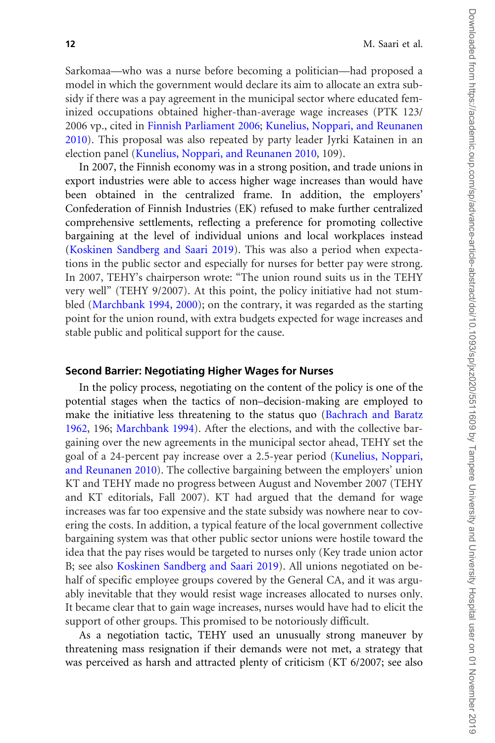Sarkomaa—who was a nurse before becoming a politician—had proposed a model in which the government would declare its aim to allocate an extra subsidy if there was a pay agreement in the municipal sector where educated feminized occupations obtained higher-than-average wage increases (PTK 123/ 2006 vp., cited in [Finnish Parliament 2006;](#page-21-0) [Kunelius, Noppari, and Reunanen](#page-23-0) [2010\)](#page-23-0). This proposal was also repeated by party leader Jyrki Katainen in an election panel [\(Kunelius, Noppari, and Reunanen 2010](#page-23-0), 109).

In 2007, the Finnish economy was in a strong position, and trade unions in export industries were able to access higher wage increases than would have been obtained in the centralized frame. In addition, the employers' Confederation of Finnish Industries (EK) refused to make further centralized comprehensive settlements, reflecting a preference for promoting collective bargaining at the level of individual unions and local workplaces instead ([Koskinen Sandberg and Saari 2019\)](#page-22-0). This was also a period when expectations in the public sector and especially for nurses for better pay were strong. In 2007, TEHY's chairperson wrote: "The union round suits us in the TEHY very well" (TEHY 9/2007). At this point, the policy initiative had not stumbled ([Marchbank 1994](#page-23-0), [2000](#page-23-0)); on the contrary, it was regarded as the starting point for the union round, with extra budgets expected for wage increases and stable public and political support for the cause.

#### Second Barrier: Negotiating Higher Wages for Nurses

In the policy process, negotiating on the content of the policy is one of the potential stages when the tactics of non–decision-making are employed to make the initiative less threatening to the status quo [\(Bachrach and Baratz](#page-21-0) [1962,](#page-21-0) 196; [Marchbank 1994](#page-23-0)). After the elections, and with the collective bargaining over the new agreements in the municipal sector ahead, TEHY set the goal of a 24-percent pay increase over a 2.5-year period ([Kunelius, Noppari,](#page-23-0) [and Reunanen 2010\)](#page-23-0). The collective bargaining between the employers' union KT and TEHY made no progress between August and November 2007 (TEHY and KT editorials, Fall 2007). KT had argued that the demand for wage increases was far too expensive and the state subsidy was nowhere near to covering the costs. In addition, a typical feature of the local government collective bargaining system was that other public sector unions were hostile toward the idea that the pay rises would be targeted to nurses only (Key trade union actor B; see also [Koskinen Sandberg and Saari 2019](#page-22-0)). All unions negotiated on behalf of specific employee groups covered by the General CA, and it was arguably inevitable that they would resist wage increases allocated to nurses only. It became clear that to gain wage increases, nurses would have had to elicit the support of other groups. This promised to be notoriously difficult.

As a negotiation tactic, TEHY used an unusually strong maneuver by threatening mass resignation if their demands were not met, a strategy that was perceived as harsh and attracted plenty of criticism (KT 6/2007; see also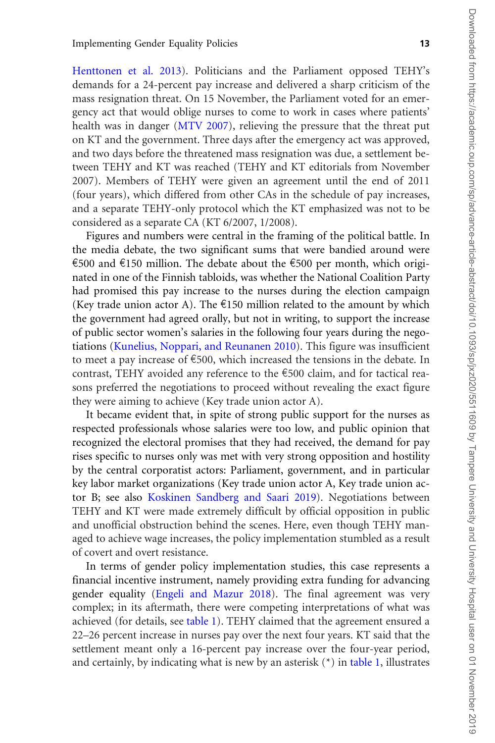[Henttonen et al. 2013](#page-22-0)). Politicians and the Parliament opposed TEHY's demands for a 24-percent pay increase and delivered a sharp criticism of the mass resignation threat. On 15 November, the Parliament voted for an emergency act that would oblige nurses to come to work in cases where patients' health was in danger [\(MTV 2007](#page-23-0)), relieving the pressure that the threat put on KT and the government. Three days after the emergency act was approved, and two days before the threatened mass resignation was due, a settlement between TEHY and KT was reached (TEHY and KT editorials from November 2007). Members of TEHY were given an agreement until the end of 2011 (four years), which differed from other CAs in the schedule of pay increases, and a separate TEHY-only protocol which the KT emphasized was not to be considered as a separate CA (KT 6/2007, 1/2008).

Figures and numbers were central in the framing of the political battle. In the media debate, the two significant sums that were bandied around were €500 and €150 million. The debate about the €500 per month, which originated in one of the Finnish tabloids, was whether the National Coalition Party had promised this pay increase to the nurses during the election campaign (Key trade union actor A). The  $\epsilon$ 150 million related to the amount by which the government had agreed orally, but not in writing, to support the increase of public sector women's salaries in the following four years during the negotiations [\(Kunelius, Noppari, and Reunanen 2010](#page-23-0)). This figure was insufficient to meet a pay increase of  $\epsilon$ 500, which increased the tensions in the debate. In contrast, TEHY avoided any reference to the  $\text{\$500 claim, and for tactical rea-}$ sons preferred the negotiations to proceed without revealing the exact figure they were aiming to achieve (Key trade union actor A).

It became evident that, in spite of strong public support for the nurses as respected professionals whose salaries were too low, and public opinion that recognized the electoral promises that they had received, the demand for pay rises specific to nurses only was met with very strong opposition and hostility by the central corporatist actors: Parliament, government, and in particular key labor market organizations (Key trade union actor A, Key trade union actor B; see also [Koskinen Sandberg and Saari 2019\)](#page-22-0). Negotiations between TEHY and KT were made extremely difficult by official opposition in public and unofficial obstruction behind the scenes. Here, even though TEHY managed to achieve wage increases, the policy implementation stumbled as a result of covert and overt resistance.

In terms of gender policy implementation studies, this case represents a financial incentive instrument, namely providing extra funding for advancing gender equality ([Engeli and Mazur 2018\)](#page-21-0). The final agreement was very complex; in its aftermath, there were competing interpretations of what was achieved (for details, see [table 1](#page-13-0)). TEHY claimed that the agreement ensured a 22–26 percent increase in nurses pay over the next four years. KT said that the settlement meant only a 16-percent pay increase over the four-year period, and certainly, by indicating what is new by an asterisk  $(*)$  in [table 1,](#page-13-0) illustrates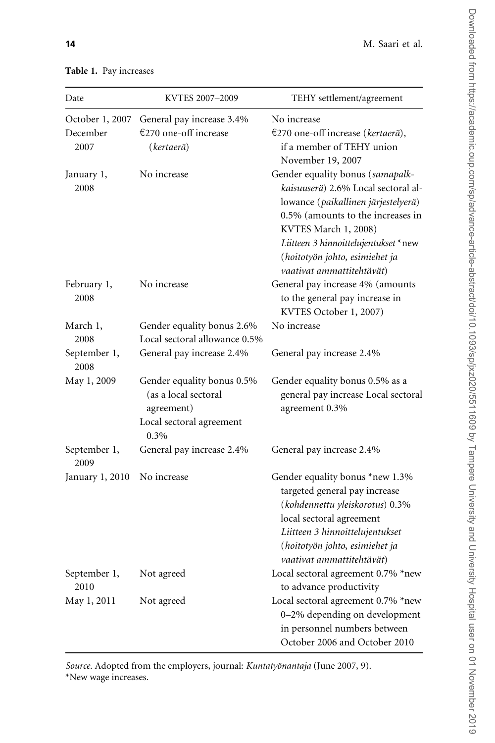| Date                                | KVTES 2007-2009                                                                                      | TEHY settlement/agreement                                                                                                                                                                                                                                                          |
|-------------------------------------|------------------------------------------------------------------------------------------------------|------------------------------------------------------------------------------------------------------------------------------------------------------------------------------------------------------------------------------------------------------------------------------------|
| October 1, 2007<br>December<br>2007 | General pay increase 3.4%<br>€270 one-off increase<br>(kertaerä)                                     | No increase<br>€270 one-off increase (kertaerä),<br>if a member of TEHY union<br>November 19, 2007                                                                                                                                                                                 |
| January 1,<br>2008                  | No increase                                                                                          | Gender equality bonus (samapalk-<br>kaisuuserä) 2.6% Local sectoral al-<br>lowance (paikallinen järjestelyerä)<br>0.5% (amounts to the increases in<br>KVTES March 1, 2008)<br>Liitteen 3 hinnoittelujentukset *new<br>(hoitotyön johto, esimiehet ja<br>vaativat ammattitehtävät) |
| February 1,<br>2008                 | No increase                                                                                          | General pay increase 4% (amounts<br>to the general pay increase in<br>KVTES October 1, 2007)                                                                                                                                                                                       |
| March 1,<br>2008                    | Gender equality bonus 2.6%<br>Local sectoral allowance 0.5%                                          | No increase                                                                                                                                                                                                                                                                        |
| September 1,<br>2008                | General pay increase 2.4%                                                                            | General pay increase 2.4%                                                                                                                                                                                                                                                          |
| May 1, 2009                         | Gender equality bonus 0.5%<br>(as a local sectoral<br>agreement)<br>Local sectoral agreement<br>0.3% | Gender equality bonus 0.5% as a<br>general pay increase Local sectoral<br>agreement 0.3%                                                                                                                                                                                           |
| September 1,<br>2009                | General pay increase 2.4%                                                                            | General pay increase 2.4%                                                                                                                                                                                                                                                          |
| January 1, 2010                     | No increase                                                                                          | Gender equality bonus *new 1.3%<br>targeted general pay increase<br>(kohdennettu yleiskorotus) 0.3%<br>local sectoral agreement<br>Liitteen 3 hinnoittelujentukset<br>(hoitotyön johto, esimiehet ja<br>vaativat ammattitehtävät)                                                  |
| September 1,<br>2010                | Not agreed                                                                                           | Local sectoral agreement 0.7% *new<br>to advance productivity                                                                                                                                                                                                                      |
| May 1, 2011                         | Not agreed                                                                                           | Local sectoral agreement 0.7% *new<br>0-2% depending on development<br>in personnel numbers between<br>October 2006 and October 2010                                                                                                                                               |

<span id="page-13-0"></span>Table 1. Pay increases

Source. Adopted from the employers, journal: Kuntatyönantaja (June 2007, 9). \*New wage increases.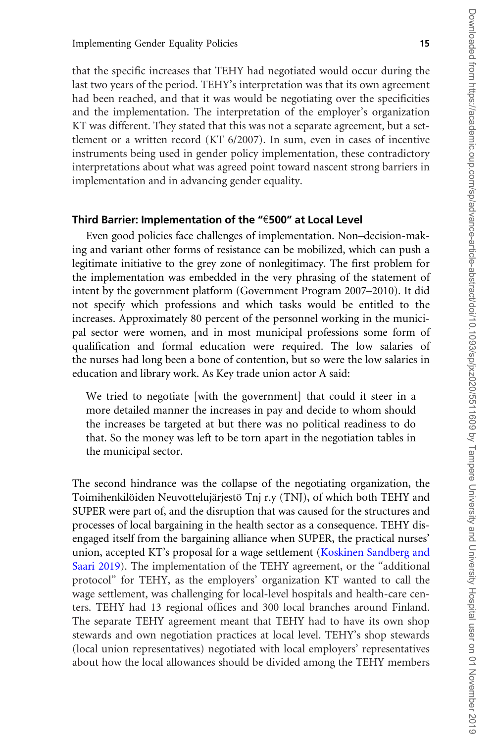that the specific increases that TEHY had negotiated would occur during the last two years of the period. TEHY's interpretation was that its own agreement had been reached, and that it was would be negotiating over the specificities and the implementation. The interpretation of the employer's organization KT was different. They stated that this was not a separate agreement, but a settlement or a written record (KT 6/2007). In sum, even in cases of incentive instruments being used in gender policy implementation, these contradictory interpretations about what was agreed point toward nascent strong barriers in implementation and in advancing gender equality.

#### Third Barrier: Implementation of the " $\epsilon$ 500" at Local Level

Even good policies face challenges of implementation. Non–decision-making and variant other forms of resistance can be mobilized, which can push a legitimate initiative to the grey zone of nonlegitimacy. The first problem for the implementation was embedded in the very phrasing of the statement of intent by the government platform (Government Program 2007–2010). It did not specify which professions and which tasks would be entitled to the increases. Approximately 80 percent of the personnel working in the municipal sector were women, and in most municipal professions some form of qualification and formal education were required. The low salaries of the nurses had long been a bone of contention, but so were the low salaries in education and library work. As Key trade union actor A said:

We tried to negotiate [with the government] that could it steer in a more detailed manner the increases in pay and decide to whom should the increases be targeted at but there was no political readiness to do that. So the money was left to be torn apart in the negotiation tables in the municipal sector.

The second hindrance was the collapse of the negotiating organization, the Toimihenkilöiden Neuvottelujärjestö Tnj r.y (TNJ), of which both TEHY and SUPER were part of, and the disruption that was caused for the structures and processes of local bargaining in the health sector as a consequence. TEHY disengaged itself from the bargaining alliance when SUPER, the practical nurses' union, accepted KT's proposal for a wage settlement ([Koskinen Sandberg and](#page-22-0) [Saari 2019\)](#page-22-0). The implementation of the TEHY agreement, or the "additional protocol" for TEHY, as the employers' organization KT wanted to call the wage settlement, was challenging for local-level hospitals and health-care centers. TEHY had 13 regional offices and 300 local branches around Finland. The separate TEHY agreement meant that TEHY had to have its own shop stewards and own negotiation practices at local level. TEHY's shop stewards (local union representatives) negotiated with local employers' representatives about how the local allowances should be divided among the TEHY members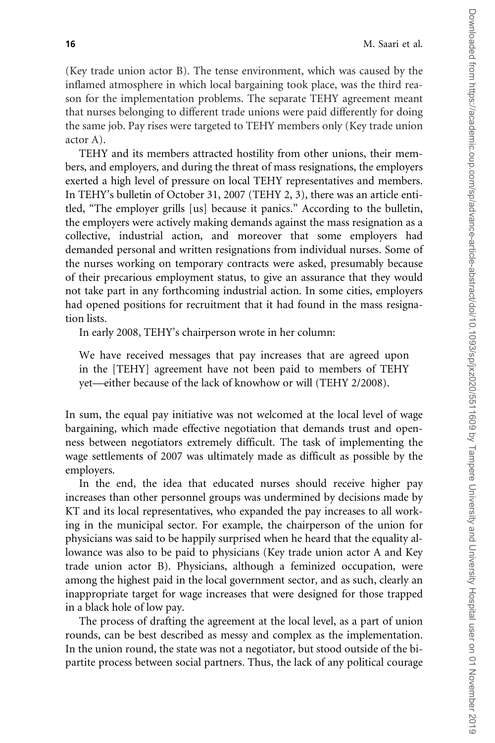(Key trade union actor B). The tense environment, which was caused by the inflamed atmosphere in which local bargaining took place, was the third reason for the implementation problems. The separate TEHY agreement meant that nurses belonging to different trade unions were paid differently for doing the same job. Pay rises were targeted to TEHY members only (Key trade union actor A).

TEHY and its members attracted hostility from other unions, their members, and employers, and during the threat of mass resignations, the employers exerted a high level of pressure on local TEHY representatives and members. In TEHY's bulletin of October 31, 2007 (TEHY 2, 3), there was an article entitled, "The employer grills [us] because it panics." According to the bulletin, the employers were actively making demands against the mass resignation as a collective, industrial action, and moreover that some employers had demanded personal and written resignations from individual nurses. Some of the nurses working on temporary contracts were asked, presumably because of their precarious employment status, to give an assurance that they would not take part in any forthcoming industrial action. In some cities, employers had opened positions for recruitment that it had found in the mass resignation lists.

In early 2008, TEHY's chairperson wrote in her column:

We have received messages that pay increases that are agreed upon in the [TEHY] agreement have not been paid to members of TEHY yet—either because of the lack of knowhow or will (TEHY 2/2008).

In sum, the equal pay initiative was not welcomed at the local level of wage bargaining, which made effective negotiation that demands trust and openness between negotiators extremely difficult. The task of implementing the wage settlements of 2007 was ultimately made as difficult as possible by the employers.

In the end, the idea that educated nurses should receive higher pay increases than other personnel groups was undermined by decisions made by KT and its local representatives, who expanded the pay increases to all working in the municipal sector. For example, the chairperson of the union for physicians was said to be happily surprised when he heard that the equality allowance was also to be paid to physicians (Key trade union actor A and Key trade union actor B). Physicians, although a feminized occupation, were among the highest paid in the local government sector, and as such, clearly an inappropriate target for wage increases that were designed for those trapped in a black hole of low pay.

The process of drafting the agreement at the local level, as a part of union rounds, can be best described as messy and complex as the implementation. In the union round, the state was not a negotiator, but stood outside of the bipartite process between social partners. Thus, the lack of any political courage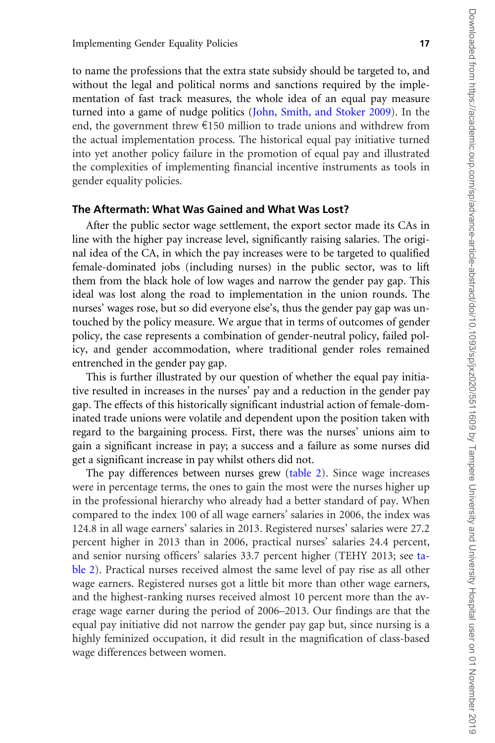to name the professions that the extra state subsidy should be targeted to, and without the legal and political norms and sanctions required by the implementation of fast track measures, the whole idea of an equal pay measure turned into a game of nudge politics [\(John, Smith, and Stoker 2009](#page-22-0)). In the end, the government threw  $\epsilon$ 150 million to trade unions and withdrew from the actual implementation process. The historical equal pay initiative turned into yet another policy failure in the promotion of equal pay and illustrated the complexities of implementing financial incentive instruments as tools in gender equality policies.

#### The Aftermath: What Was Gained and What Was Lost?

After the public sector wage settlement, the export sector made its CAs in line with the higher pay increase level, significantly raising salaries. The original idea of the CA, in which the pay increases were to be targeted to qualified female-dominated jobs (including nurses) in the public sector, was to lift them from the black hole of low wages and narrow the gender pay gap. This ideal was lost along the road to implementation in the union rounds. The nurses' wages rose, but so did everyone else's, thus the gender pay gap was untouched by the policy measure. We argue that in terms of outcomes of gender policy, the case represents a combination of gender-neutral policy, failed policy, and gender accommodation, where traditional gender roles remained entrenched in the gender pay gap.

This is further illustrated by our question of whether the equal pay initiative resulted in increases in the nurses' pay and a reduction in the gender pay gap. The effects of this historically significant industrial action of female-dominated trade unions were volatile and dependent upon the position taken with regard to the bargaining process. First, there was the nurses' unions aim to gain a significant increase in pay; a success and a failure as some nurses did get a significant increase in pay whilst others did not.

The pay differences between nurses grew ([table 2](#page-17-0)). Since wage increases were in percentage terms, the ones to gain the most were the nurses higher up in the professional hierarchy who already had a better standard of pay. When compared to the index 100 of all wage earners' salaries in 2006, the index was 124.8 in all wage earners' salaries in 2013. Registered nurses' salaries were 27.2 percent higher in 2013 than in 2006, practical nurses' salaries 24.4 percent, and senior nursing officers' salaries 33.7 percent higher (TEHY 2013; see [ta](#page-17-0)[ble 2\)](#page-17-0). Practical nurses received almost the same level of pay rise as all other wage earners. Registered nurses got a little bit more than other wage earners, and the highest-ranking nurses received almost 10 percent more than the average wage earner during the period of 2006–2013. Our findings are that the equal pay initiative did not narrow the gender pay gap but, since nursing is a highly feminized occupation, it did result in the magnification of class-based wage differences between women.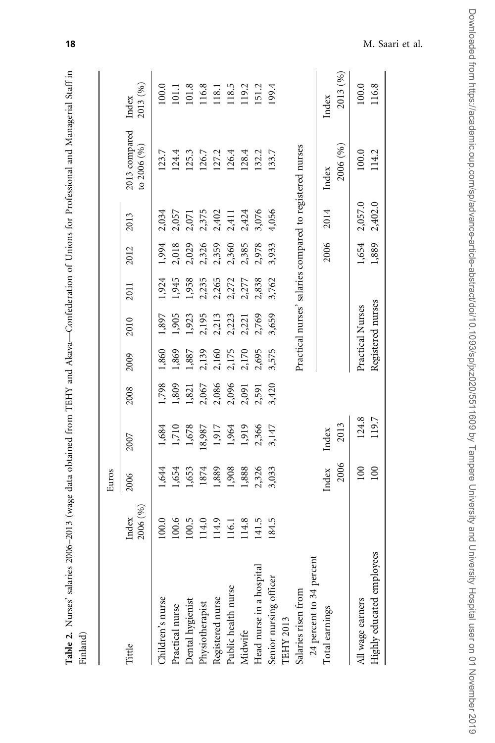|                                     |                   | Euros |        |       |                |                   |                |       |         |                                                          |                   |
|-------------------------------------|-------------------|-------|--------|-------|----------------|-------------------|----------------|-------|---------|----------------------------------------------------------|-------------------|
| Tittle                              | 2006 (%)<br>Index | 2006  | 2007   | 2008  | 2009           | 2010              | 2011           | 2012  | 2013    | 2013 compared<br>to $2006(%)$                            | 2013 (%)<br>Index |
| Children's nurse                    | 100.0             | 1,644 | 1,684  | 1,798 | 1,860          | 1,897             | 1,924          | 1,994 | 2,034   | 123.7                                                    | 100.0             |
| Practical nurse                     | 100.6             | 1,654 | 1,710  | 1,809 | .869           | 1,905             | 1,945          | 2,018 | 2,057   | 124.4                                                    | 101.1             |
| Dental hygienist<br>Physiotherapist | 100.5             | 1,653 | 1,678  | , 821 | 1,887          |                   | 1,958          | 2,029 | 2,071   | 125.3                                                    | 101.8             |
|                                     | 114.0             | 1874  | 18,987 | 2,067 | 2,139          | 1,923<br>2,195    | 2,235          | 2,326 | 2,375   | 126.7                                                    | 116.8             |
| Registered nurse                    | 114.9             | 1,889 | 1,917  | 2,086 | 2,160          | 2,213             | 2,265          | 2,359 | 2,402   | 127.2                                                    | 118.1             |
| Public health nurse                 | 116.1             | 908   | 1,964  | 2,096 |                |                   |                | 2,360 | 2,411   | 126.4                                                    | 118.5             |
| Midwife                             | 114.8             | 1,888 | 1,919  |       | 2,175<br>2,170 | 2,223<br>2,221    | 2,272<br>2,277 | 2,385 | 2,424   | 128.4                                                    | 119.2             |
| ital<br>Head nurse in a hosp        | 141.5             | 2,326 | 2,366  | 2,591 | 2,695          | 2,769             | 2,838          | 2,978 | 3,076   | 132.2                                                    | 151.2             |
|                                     | 184.5             | 3,033 | 3,147  | ,420  | 3,575          | 3,659             | 3,762          | 3,933 | 4,056   | 133.7                                                    | 199.4             |
| Senior nursing officer<br>TEHY 2013 |                   |       |        |       |                |                   |                |       |         |                                                          |                   |
| Salaries risen from                 |                   |       |        |       |                |                   |                |       |         | Practical nurses' salaries compared to registered nurses |                   |
| 24 percent to 34 percent            |                   |       |        |       |                |                   |                |       |         |                                                          |                   |
| Total earnings                      |                   | Index | Index  |       |                |                   |                | 2006  | 2014    | Index                                                    | Index             |
|                                     |                   | 2006  | 2013   |       |                |                   |                |       |         | 2006 (%)                                                 | 2013 (%)          |
| All wage earners                    |                   | 100   | 124.8  |       |                | Practical Nurses  |                | 1,654 | 2,057.0 | 100.0                                                    | 100.0             |
| Highly educated employees           |                   | 100   | 119.7  |       |                | Registered nurses |                | 1,889 | 2,402.0 | 114.2                                                    | 116.8             |

Table 2. Nurses' salaries 2006–2013 (wage data obtained from TEHY and Akava—Confederation of Unions for Professional and Managerial Staff in

Table 2. Nurses' salaries 2006-2013 (wage data obtained from TEHY and Akava--Confederation of Unions for Professional and Managerial Staff in

<span id="page-17-0"></span>18 M. Saari et al.

Downloaded from https://academic.oup.com/sp/advance-article-abstract/doi/10.1093/sp/jxz020/5511609 by Tampere University and University Hospital user on 01 November 2019 Downloaded from https://academic.oup.com/sp/advance-article-abstract/doi/10.1093/sp/jxz020/5511609 by Tampere University and University Hospital user on 01 November 2019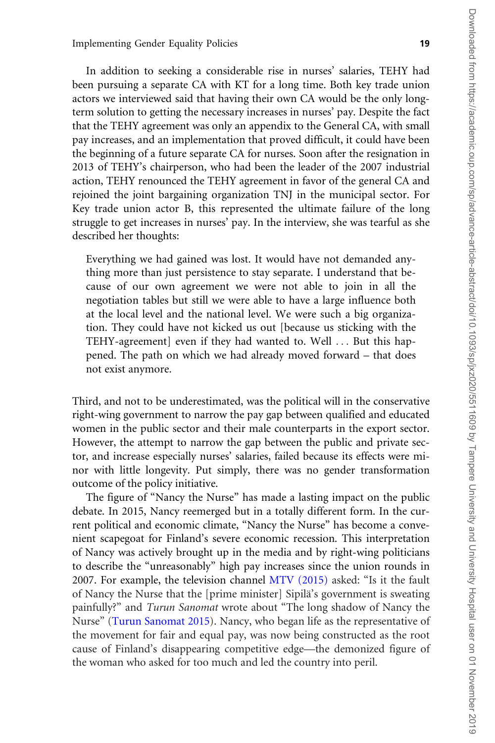In addition to seeking a considerable rise in nurses' salaries, TEHY had been pursuing a separate CA with KT for a long time. Both key trade union actors we interviewed said that having their own CA would be the only longterm solution to getting the necessary increases in nurses' pay. Despite the fact that the TEHY agreement was only an appendix to the General CA, with small pay increases, and an implementation that proved difficult, it could have been the beginning of a future separate CA for nurses. Soon after the resignation in 2013 of TEHY's chairperson, who had been the leader of the 2007 industrial action, TEHY renounced the TEHY agreement in favor of the general CA and rejoined the joint bargaining organization TNJ in the municipal sector. For Key trade union actor B, this represented the ultimate failure of the long struggle to get increases in nurses' pay. In the interview, she was tearful as she described her thoughts:

Everything we had gained was lost. It would have not demanded anything more than just persistence to stay separate. I understand that because of our own agreement we were not able to join in all the negotiation tables but still we were able to have a large influence both at the local level and the national level. We were such a big organization. They could have not kicked us out [because us sticking with the TEHY-agreement] even if they had wanted to. Well ... But this happened. The path on which we had already moved forward – that does not exist anymore.

Third, and not to be underestimated, was the political will in the conservative right-wing government to narrow the pay gap between qualified and educated women in the public sector and their male counterparts in the export sector. However, the attempt to narrow the gap between the public and private sector, and increase especially nurses' salaries, failed because its effects were minor with little longevity. Put simply, there was no gender transformation outcome of the policy initiative.

The figure of "Nancy the Nurse" has made a lasting impact on the public debate. In 2015, Nancy reemerged but in a totally different form. In the current political and economic climate, "Nancy the Nurse" has become a convenient scapegoat for Finland's severe economic recession. This interpretation of Nancy was actively brought up in the media and by right-wing politicians to describe the "unreasonably" high pay increases since the union rounds in 2007. For example, the television channel [MTV \(2015\)](#page-23-0) asked: "Is it the fault of Nancy the Nurse that the [prime minister] Sipila¨'s government is sweating painfully?" and Turun Sanomat wrote about "The long shadow of Nancy the Nurse" ([Turun Sanomat 2015\)](#page-24-0). Nancy, who began life as the representative of the movement for fair and equal pay, was now being constructed as the root cause of Finland's disappearing competitive edge—the demonized figure of the woman who asked for too much and led the country into peril.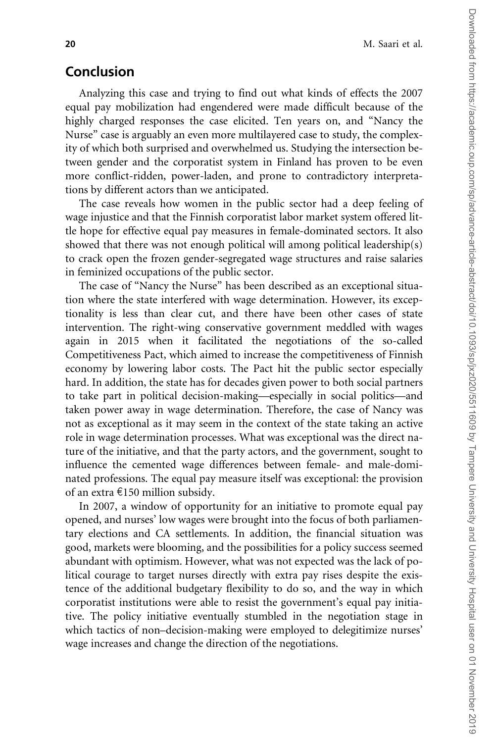### Conclusion

Analyzing this case and trying to find out what kinds of effects the 2007 equal pay mobilization had engendered were made difficult because of the highly charged responses the case elicited. Ten years on, and "Nancy the Nurse" case is arguably an even more multilayered case to study, the complexity of which both surprised and overwhelmed us. Studying the intersection between gender and the corporatist system in Finland has proven to be even more conflict-ridden, power-laden, and prone to contradictory interpretations by different actors than we anticipated.

The case reveals how women in the public sector had a deep feeling of wage injustice and that the Finnish corporatist labor market system offered little hope for effective equal pay measures in female-dominated sectors. It also showed that there was not enough political will among political leadership(s) to crack open the frozen gender-segregated wage structures and raise salaries in feminized occupations of the public sector.

The case of "Nancy the Nurse" has been described as an exceptional situation where the state interfered with wage determination. However, its exceptionality is less than clear cut, and there have been other cases of state intervention. The right-wing conservative government meddled with wages again in 2015 when it facilitated the negotiations of the so-called Competitiveness Pact, which aimed to increase the competitiveness of Finnish economy by lowering labor costs. The Pact hit the public sector especially hard. In addition, the state has for decades given power to both social partners to take part in political decision-making—especially in social politics—and taken power away in wage determination. Therefore, the case of Nancy was not as exceptional as it may seem in the context of the state taking an active role in wage determination processes. What was exceptional was the direct nature of the initiative, and that the party actors, and the government, sought to influence the cemented wage differences between female- and male-dominated professions. The equal pay measure itself was exceptional: the provision of an extra  $\epsilon$ 150 million subsidy.

In 2007, a window of opportunity for an initiative to promote equal pay opened, and nurses' low wages were brought into the focus of both parliamentary elections and CA settlements. In addition, the financial situation was good, markets were blooming, and the possibilities for a policy success seemed abundant with optimism. However, what was not expected was the lack of political courage to target nurses directly with extra pay rises despite the existence of the additional budgetary flexibility to do so, and the way in which corporatist institutions were able to resist the government's equal pay initiative. The policy initiative eventually stumbled in the negotiation stage in which tactics of non–decision-making were employed to delegitimize nurses' wage increases and change the direction of the negotiations.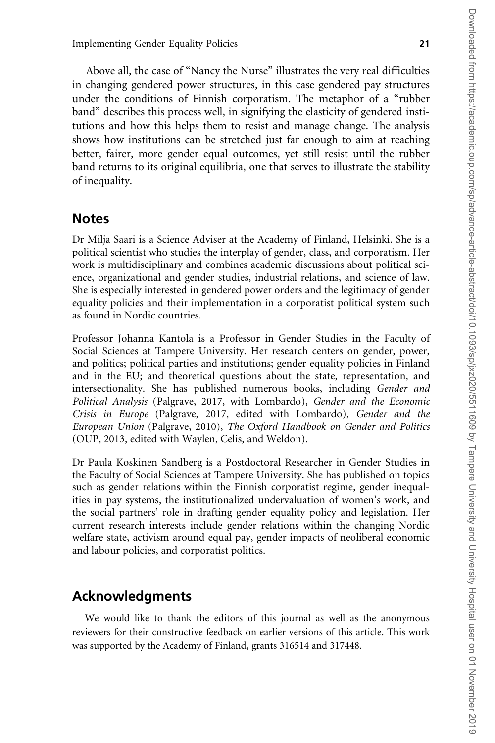Above all, the case of "Nancy the Nurse" illustrates the very real difficulties in changing gendered power structures, in this case gendered pay structures under the conditions of Finnish corporatism. The metaphor of a "rubber band" describes this process well, in signifying the elasticity of gendered institutions and how this helps them to resist and manage change. The analysis shows how institutions can be stretched just far enough to aim at reaching better, fairer, more gender equal outcomes, yet still resist until the rubber band returns to its original equilibria, one that serves to illustrate the stability of inequality.

### **Notes**

Dr Milja Saari is a Science Adviser at the Academy of Finland, Helsinki. She is a political scientist who studies the interplay of gender, class, and corporatism. Her work is multidisciplinary and combines academic discussions about political science, organizational and gender studies, industrial relations, and science of law. She is especially interested in gendered power orders and the legitimacy of gender equality policies and their implementation in a corporatist political system such as found in Nordic countries.

Professor Johanna Kantola is a Professor in Gender Studies in the Faculty of Social Sciences at Tampere University. Her research centers on gender, power, and politics; political parties and institutions; gender equality policies in Finland and in the EU; and theoretical questions about the state, representation, and intersectionality. She has published numerous books, including Gender and Political Analysis (Palgrave, 2017, with Lombardo), Gender and the Economic Crisis in Europe (Palgrave, 2017, edited with Lombardo), Gender and the European Union (Palgrave, 2010), The Oxford Handbook on Gender and Politics (OUP, 2013, edited with Waylen, Celis, and Weldon).

Dr Paula Koskinen Sandberg is a Postdoctoral Researcher in Gender Studies in the Faculty of Social Sciences at Tampere University. She has published on topics such as gender relations within the Finnish corporatist regime, gender inequalities in pay systems, the institutionalized undervaluation of women's work, and the social partners' role in drafting gender equality policy and legislation. Her current research interests include gender relations within the changing Nordic welfare state, activism around equal pay, gender impacts of neoliberal economic and labour policies, and corporatist politics.

# Acknowledgments

We would like to thank the editors of this journal as well as the anonymous reviewers for their constructive feedback on earlier versions of this article. This work was supported by the Academy of Finland, grants 316514 and 317448.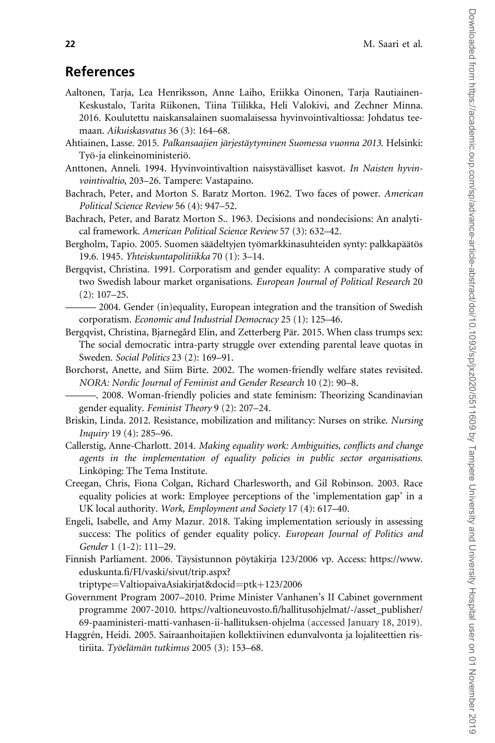### <span id="page-21-0"></span>References

- Aaltonen, Tarja, Lea Henriksson, Anne Laiho, Eriikka Oinonen, Tarja Rautiainen-Keskustalo, Tarita Riikonen, Tiina Tiilikka, Heli Valokivi, and Zechner Minna. 2016. Koulutettu naiskansalainen suomalaisessa hyvinvointivaltiossa: Johdatus teemaan. Aikuiskasvatus 36 (3): 164–68.
- Ahtiainen, Lasse. 2015. Palkansaajien järjestäytyminen Suomessa vuonna 2013. Helsinki: Työ-ja elinkeinoministeriö.
- Anttonen, Anneli. 1994. Hyvinvointivaltion naisystävälliset kasvot. In Naisten hyvinvointivaltio, 203–26. Tampere: Vastapaino.
- Bachrach, Peter, and Morton S. Baratz Morton. 1962. Two faces of power. American Political Science Review 56 (4): 947–52.
- Bachrach, Peter, and Baratz Morton S.. 1963. Decisions and nondecisions: An analytical framework. American Political Science Review 57 (3): 632–42.
- Bergholm, Tapio. 2005. Suomen säädeltyjen työmarkkinasuhteiden synty: palkkapäätös 19.6. 1945. Yhteiskuntapolitiikka 70 (1): 3–14.
- Bergqvist, Christina. 1991. Corporatism and gender equality: A comparative study of two Swedish labour market organisations. European Journal of Political Research 20 (2): 107–25.
- 2004. Gender (in)equality, European integration and the transition of Swedish corporatism. Economic and Industrial Democracy 25 (1): 125–46.
- Bergqvist, Christina, Bjarnegård Elin, and Zetterberg Pär. 2015. When class trumps sex: The social democratic intra-party struggle over extending parental leave quotas in Sweden. Social Politics 23 (2): 169–91.
- Borchorst, Anette, and Siim Birte. 2002. The women-friendly welfare states revisited. NORA: Nordic Journal of Feminist and Gender Research 10 (2): 90–8.
	- ———. 2008. Woman-friendly policies and state feminism: Theorizing Scandinavian gender equality. Feminist Theory 9 (2): 207–24.
- Briskin, Linda. 2012. Resistance, mobilization and militancy: Nurses on strike. Nursing Inquiry 19 (4): 285–96.
- Callerstig, Anne-Charlott. 2014. Making equality work: Ambiguities, conflicts and change agents in the implementation of equality policies in public sector organisations. Linköping: The Tema Institute.
- Creegan, Chris, Fiona Colgan, Richard Charlesworth, and Gil Robinson. 2003. Race equality policies at work: Employee perceptions of the 'implementation gap' in a UK local authority. Work, Employment and Society 17 (4): 617–40.
- Engeli, Isabelle, and Amy Mazur. 2018. Taking implementation seriously in assessing success: The politics of gender equality policy. European Journal of Politics and Gender 1 (1-2): 111–29.
- Finnish Parliament. 2006. Täysistunnon pöytäkirja 123/2006 vp. Access: [https://www.](https://www.eduskunta.fi/FI/vaski/sivut/trip.aspx?triptype=ValtiopaivaAsiakirjat&hx0026;docid=ptk+123/2006) [eduskunta.fi/FI/vaski/sivut/trip.aspx?](https://www.eduskunta.fi/FI/vaski/sivut/trip.aspx?triptype=ValtiopaivaAsiakirjat&hx0026;docid=ptk+123/2006)

[triptype](https://www.eduskunta.fi/FI/vaski/sivut/trip.aspx?triptype=ValtiopaivaAsiakirjat&hx0026;docid=ptk+123/2006)=[ValtiopaivaAsiakirjat&docid](https://www.eduskunta.fi/FI/vaski/sivut/trip.aspx?triptype=ValtiopaivaAsiakirjat&hx0026;docid=ptk+123/2006)=[ptk](https://www.eduskunta.fi/FI/vaski/sivut/trip.aspx?triptype=ValtiopaivaAsiakirjat&hx0026;docid=ptk+123/2006)+[123/2006](https://www.eduskunta.fi/FI/vaski/sivut/trip.aspx?triptype=ValtiopaivaAsiakirjat&hx0026;docid=ptk+123/2006)

- Government Program 2007–2010. Prime Minister Vanhanen's II Cabinet government programme 2007-2010. [https://valtioneuvosto.fi/hallitusohjelmat/-/asset\\_publisher/](https://valtioneuvosto.fi/hallitusohjelmat/-/asset_publisher/69-paaministeri-matti-vanhasen-ii-hallituksen-ohjelma) [69-paaministeri-matti-vanhasen-ii-hallituksen-ohjelma](https://valtioneuvosto.fi/hallitusohjelmat/-/asset_publisher/69-paaministeri-matti-vanhasen-ii-hallituksen-ohjelma) (accessed January 18, 2019).
- Haggrén, Heidi. 2005. Sairaanhoitajien kollektiivinen edunvalvonta ja lojaliteettien ristiriita. Työelämän tutkimus 2005 (3): 153–68.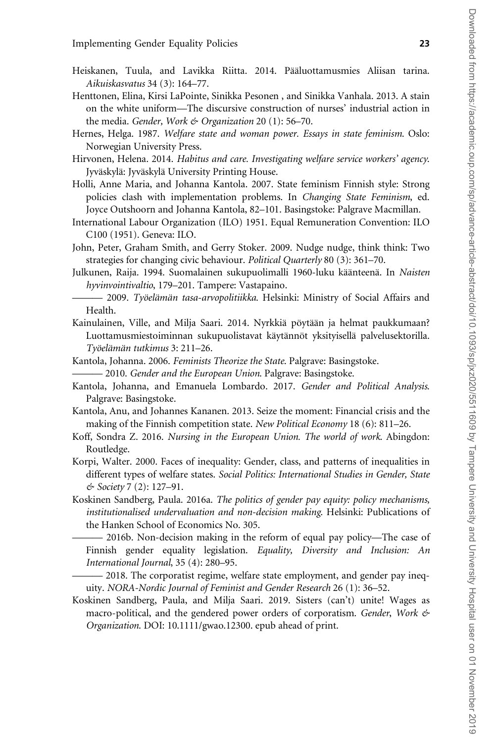- <span id="page-22-0"></span>Heiskanen, Tuula, and Lavikka Riitta. 2014. Pääluottamusmies Aliisan tarina. Aikuiskasvatus 34 (3): 164–77.
- Henttonen, Elina, Kirsi LaPointe, Sinikka Pesonen , and Sinikka Vanhala. 2013. A stain on the white uniform—The discursive construction of nurses' industrial action in the media. Gender, Work & Organization 20 (1): 56-70.
- Hernes, Helga. 1987. Welfare state and woman power. Essays in state feminism. Oslo: Norwegian University Press.
- Hirvonen, Helena. 2014. Habitus and care. Investigating welfare service workers' agency. Jyväskylä: Jyväskylä University Printing House.
- Holli, Anne Maria, and Johanna Kantola. 2007. State feminism Finnish style: Strong policies clash with implementation problems. In Changing State Feminism, ed. Joyce Outshoorn and Johanna Kantola, 82–101. Basingstoke: Palgrave Macmillan.
- International Labour Organization (ILO) 1951. Equal Remuneration Convention: ILO C100 (1951). Geneva: ILO.
- John, Peter, Graham Smith, and Gerry Stoker. 2009. Nudge nudge, think think: Two strategies for changing civic behaviour. Political Quarterly 80 (3): 361–70.
- Julkunen, Raija. 1994. Suomalainen sukupuolimalli 1960-luku käänteenä. In Naisten hyvinvointivaltio, 179–201. Tampere: Vastapaino.
- 2009. Työelämän tasa-arvopolitiikka. Helsinki: Ministry of Social Affairs and Health.
- Kainulainen, Ville, and Milja Saari. 2014. Nyrkkiä pöytään ja helmat paukkumaan? Luottamusmiestoiminnan sukupuolistavat käytännöt yksityisellä palvelusektorilla. Työelämän tutkimus 3: 211–26.
- Kantola, Johanna. 2006. Feminists Theorize the State. Palgrave: Basingstoke.
- 2010. Gender and the European Union. Palgrave: Basingstoke.
- Kantola, Johanna, and Emanuela Lombardo. 2017. Gender and Political Analysis. Palgrave: Basingstoke.
- Kantola, Anu, and Johannes Kananen. 2013. Seize the moment: Financial crisis and the making of the Finnish competition state. New Political Economy 18 (6): 811–26.
- Koff, Sondra Z. 2016. Nursing in the European Union. The world of work. Abingdon: Routledge.
- Korpi, Walter. 2000. Faces of inequality: Gender, class, and patterns of inequalities in different types of welfare states. Social Politics: International Studies in Gender, State & Society 7 (2): 127–91.
- Koskinen Sandberg, Paula. 2016a. The politics of gender pay equity: policy mechanisms, institutionalised undervaluation and non-decision making. Helsinki: Publications of the Hanken School of Economics No. 305.

- 2016b. Non-decision making in the reform of equal pay policy—The case of Finnish gender equality legislation. Equality, Diversity and Inclusion: An International Journal, 35 (4): 280–95.

- 2018. The corporatist regime, welfare state employment, and gender pay inequity. NORA-Nordic Journal of Feminist and Gender Research 26 (1): 36–52.
- Koskinen Sandberg, Paula, and Milja Saari. 2019. Sisters (can't) unite! Wages as macro-political, and the gendered power orders of corporatism. Gender, Work  $\phi$ Organization. DOI: 10.1111/gwao.12300. epub ahead of print.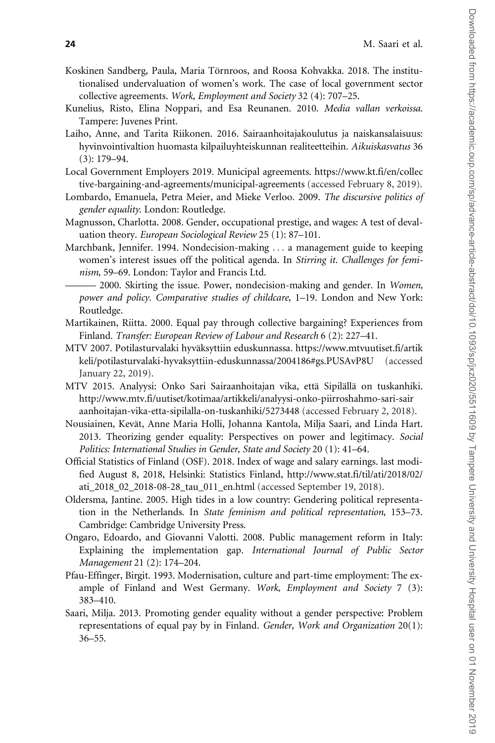- <span id="page-23-0"></span>Koskinen Sandberg, Paula, Maria Törnroos, and Roosa Kohvakka. 2018. The institutionalised undervaluation of women's work. The case of local government sector collective agreements. Work, Employment and Society 32 (4): 707–25.
- Kunelius, Risto, Elina Noppari, and Esa Reunanen. 2010. Media vallan verkoissa. Tampere: Juvenes Print.
- Laiho, Anne, and Tarita Riikonen. 2016. Sairaanhoitajakoulutus ja naiskansalaisuus: hyvinvointivaltion huomasta kilpailuyhteiskunnan realiteetteihin. Aikuiskasvatus 36 (3): 179–94.
- Local Government Employers 2019. Municipal agreements. [https://www.kt.fi/en/collec](https://www.kt.fi/en/collective-bargaining-and-agreements/municipal-agreements) [tive-bargaining-and-agreements/municipal-agreements](https://www.kt.fi/en/collective-bargaining-and-agreements/municipal-agreements) (accessed February 8, 2019).
- Lombardo, Emanuela, Petra Meier, and Mieke Verloo. 2009. The discursive politics of gender equality. London: Routledge.
- Magnusson, Charlotta. 2008. Gender, occupational prestige, and wages: A test of devaluation theory. European Sociological Review 25 (1): 87–101.
- Marchbank, Jennifer. 1994. Nondecision-making ... a management guide to keeping women's interest issues off the political agenda. In *Stirring it. Challenges for femi*nism, 59–69. London: Taylor and Francis Ltd.
	- 2000. Skirting the issue. Power, nondecision-making and gender. In Women, power and policy. Comparative studies of childcare, 1–19. London and New York: Routledge.
- Martikainen, Riitta. 2000. Equal pay through collective bargaining? Experiences from Finland. Transfer: European Review of Labour and Research 6 (2): 227–41.
- MTV 2007. Potilasturvalaki hyväksyttiin eduskunnassa. [https://www.mtvuutiset.fi/artik](https://www.mtvuutiset.fi/artikkeli/potilasturvalaki-hyvaksyttiin-eduskunnassa/2004186#gs.PUSAvP8U) [keli/potilasturvalaki-hyvaksyttiin-eduskunnassa/2004186#gs.PUSAvP8U](https://www.mtvuutiset.fi/artikkeli/potilasturvalaki-hyvaksyttiin-eduskunnassa/2004186#gs.PUSAvP8U) (accessed January 22, 2019).
- MTV 2015. Analyysi: Onko Sari Sairaanhoitajan vika, että Sipilällä on tuskanhiki. [http://www.mtv.fi/uutiset/kotimaa/artikkeli/analyysi-onko-piirroshahmo-sari-sair](http://www.mtv.fi/uutiset/kotimaa/artikkeli/analyysi-onko-piirroshahmo-sari-sairaanhoitajan-vika-etta-sipilalla-on-tuskanhiki/5273448) [aanhoitajan-vika-etta-sipilalla-on-tuskanhiki/5273448](http://www.mtv.fi/uutiset/kotimaa/artikkeli/analyysi-onko-piirroshahmo-sari-sairaanhoitajan-vika-etta-sipilalla-on-tuskanhiki/5273448) (accessed February 2, 2018).
- Nousiainen, Keva¨t, Anne Maria Holli, Johanna Kantola, Milja Saari, and Linda Hart. 2013. Theorizing gender equality: Perspectives on power and legitimacy. Social Politics: International Studies in Gender, State and Society 20 (1): 41–64.
- Official Statistics of Finland (OSF). 2018. Index of wage and salary earnings. last modified August 8, 2018, Helsinki: Statistics Finland, [http://www.stat.fi/til/ati/2018/02/](http://www.stat.fi/til/ati/2018/02/ati_2018_02_2018-08-28_tau_011_en.html) [ati\\_2018\\_02\\_2018-08-28\\_tau\\_011\\_en.html](http://www.stat.fi/til/ati/2018/02/ati_2018_02_2018-08-28_tau_011_en.html) (accessed September 19, 2018).
- Oldersma, Jantine. 2005. High tides in a low country: Gendering political representation in the Netherlands. In State feminism and political representation, 153–73. Cambridge: Cambridge University Press.
- Ongaro, Edoardo, and Giovanni Valotti. 2008. Public management reform in Italy: Explaining the implementation gap. International Journal of Public Sector Management 21 (2): 174–204.
- Pfau-Effinger, Birgit. 1993. Modernisation, culture and part-time employment: The example of Finland and West Germany. Work, Employment and Society 7 (3): 383–410.
- Saari, Milja. 2013. Promoting gender equality without a gender perspective: Problem representations of equal pay by in Finland. Gender, Work and Organization 20(1): 36–55.